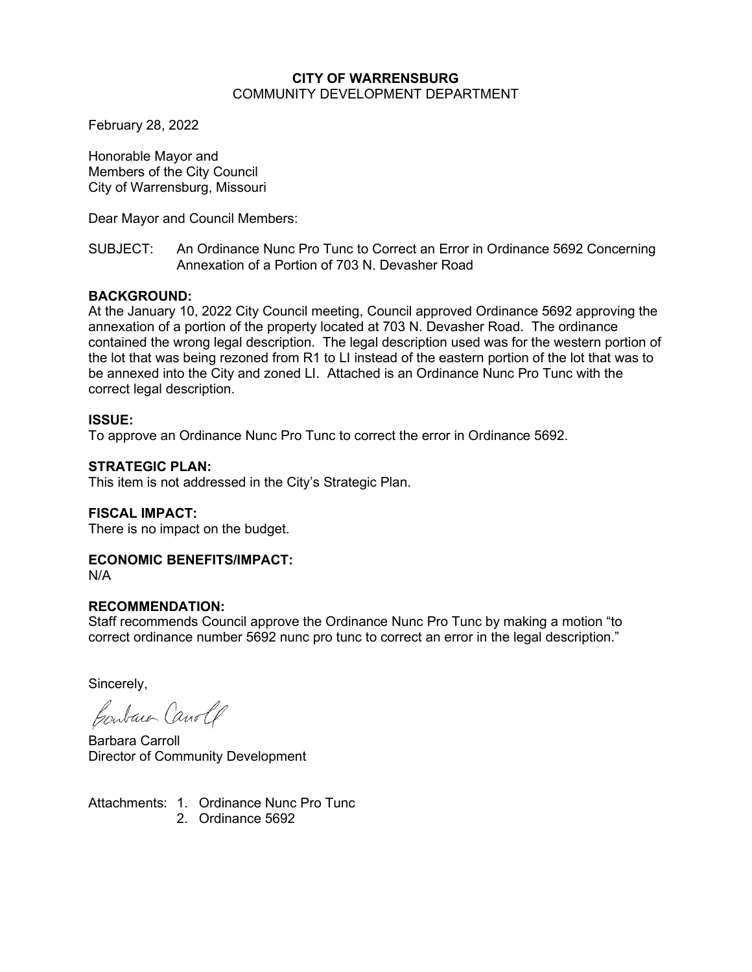#### **CITY OF WARRENSBURG** COMMUNITY DEVELOPMENT DEPARTMENT

February 28, 2022

Honorable Mayor and Members of the City Council City of Warrensburg, Missouri

Dear Mayor and Council Members:

## SUBJECT: An Ordinance Nunc Pro Tunc to Correct an Error in Ordinance 5692 Concerning Annexation of a Portion of 703 N. Devasher Road

# **BACKGROUND:**

At the January 10, 2022 City Council meeting, Council approved Ordinance 5692 approving the annexation of a portion of the property located at 703 N. Devasher Road. The ordinance contained the wrong legal description. The legal description used was for the western portion of the lot that was being rezoned from R1 to LI instead of the eastern portion of the lot that was to be annexed into the City and zoned LI. Attached is an Ordinance Nunc Pro Tunc with the correct legal description.

#### **ISSUE:**

To approve an Ordinance Nunc Pro Tunc to correct the error in Ordinance 5692.

## **STRATEGIC PLAN:**

This item is not addressed in the City's Strategic Plan.

# **FISCAL IMPACT:**

There is no impact on the budget.

# **ECONOMIC BENEFITS/IMPACT:**

N/A

# **RECOMMENDATION:**

Staff recommends Council approve the Ordinance Nunc Pro Tunc by making a motion "to correct ordinance number 5692 nunc pro tunc to correct an error in the legal description."

Sincerely,

Contain Canolf

Barbara Carroll Director of Community Development

Attachments: 1. Ordinance Nunc Pro Tunc 2. Ordinance 5692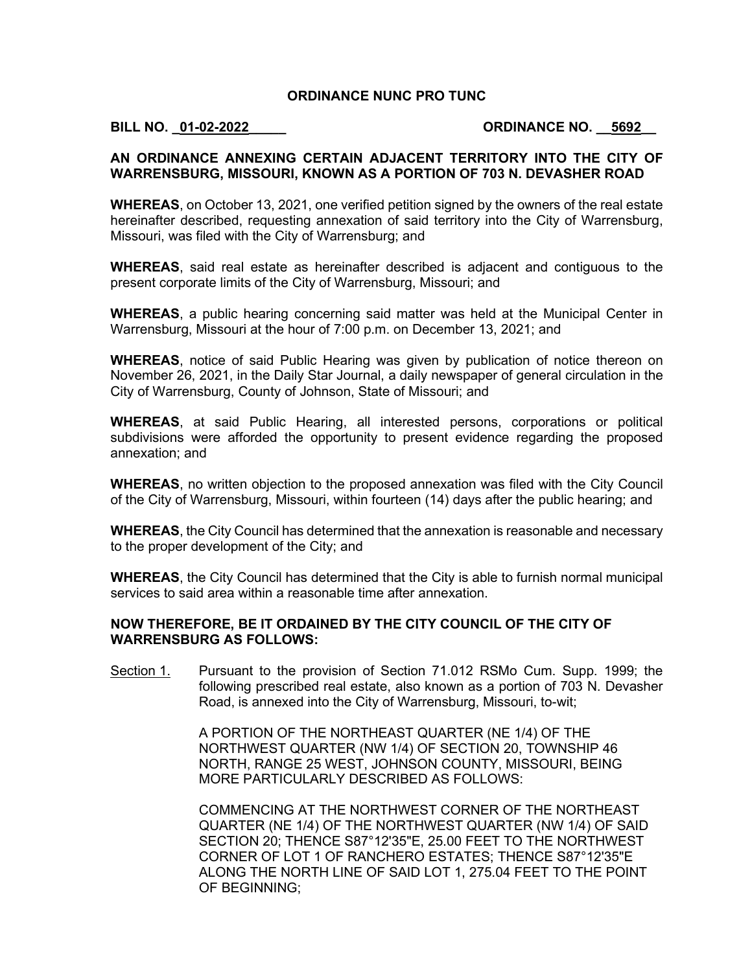## **ORDINANCE NUNC PRO TUNC**

## **BILL NO. \_01-02-2022\_\_\_\_\_ ORDINANCE NO. \_\_5692\_\_**

#### **AN ORDINANCE ANNEXING CERTAIN ADJACENT TERRITORY INTO THE CITY OF WARRENSBURG, MISSOURI, KNOWN AS A PORTION OF 703 N. DEVASHER ROAD**

**WHEREAS**, on October 13, 2021, one verified petition signed by the owners of the real estate hereinafter described, requesting annexation of said territory into the City of Warrensburg, Missouri, was filed with the City of Warrensburg; and

**WHEREAS**, said real estate as hereinafter described is adjacent and contiguous to the present corporate limits of the City of Warrensburg, Missouri; and

**WHEREAS**, a public hearing concerning said matter was held at the Municipal Center in Warrensburg, Missouri at the hour of 7:00 p.m. on December 13, 2021; and

**WHEREAS**, notice of said Public Hearing was given by publication of notice thereon on November 26, 2021, in the Daily Star Journal, a daily newspaper of general circulation in the City of Warrensburg, County of Johnson, State of Missouri; and

**WHEREAS**, at said Public Hearing, all interested persons, corporations or political subdivisions were afforded the opportunity to present evidence regarding the proposed annexation; and

**WHEREAS**, no written objection to the proposed annexation was filed with the City Council of the City of Warrensburg, Missouri, within fourteen (14) days after the public hearing; and

**WHEREAS**, the City Council has determined that the annexation is reasonable and necessary to the proper development of the City; and

**WHEREAS**, the City Council has determined that the City is able to furnish normal municipal services to said area within a reasonable time after annexation.

## **NOW THEREFORE, BE IT ORDAINED BY THE CITY COUNCIL OF THE CITY OF WARRENSBURG AS FOLLOWS:**

Section 1. Pursuant to the provision of Section 71.012 RSMo Cum. Supp. 1999; the following prescribed real estate, also known as a portion of 703 N. Devasher Road, is annexed into the City of Warrensburg, Missouri, to-wit;

> A PORTION OF THE NORTHEAST QUARTER (NE 1/4) OF THE NORTHWEST QUARTER (NW 1/4) OF SECTION 20, TOWNSHIP 46 NORTH, RANGE 25 WEST, JOHNSON COUNTY, MISSOURI, BEING MORE PARTICULARLY DESCRIBED AS FOLLOWS:

COMMENCING AT THE NORTHWEST CORNER OF THE NORTHEAST QUARTER (NE 1/4) OF THE NORTHWEST QUARTER (NW 1/4) OF SAID SECTION 20; THENCE S87°12'35"E, 25.00 FEET TO THE NORTHWEST CORNER OF LOT 1 OF RANCHERO ESTATES; THENCE S87°12'35"E ALONG THE NORTH LINE OF SAID LOT 1, 275.04 FEET TO THE POINT OF BEGINNING;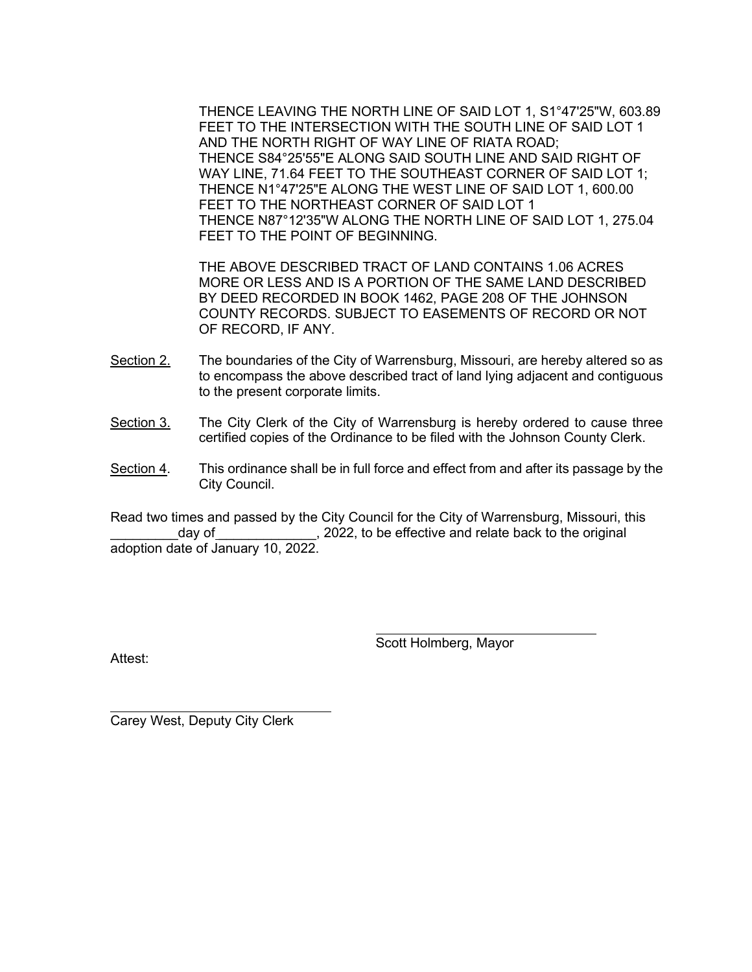THENCE LEAVING THE NORTH LINE OF SAID LOT 1, S1°47'25"W, 603.89 FEET TO THE INTERSECTION WITH THE SOUTH LINE OF SAID LOT 1 AND THE NORTH RIGHT OF WAY LINE OF RIATA ROAD; THENCE S84°25'55"E ALONG SAID SOUTH LINE AND SAID RIGHT OF WAY LINE, 71.64 FEET TO THE SOUTHEAST CORNER OF SAID LOT 1; THENCE N1°47'25"E ALONG THE WEST LINE OF SAID LOT 1, 600.00 FEET TO THE NORTHEAST CORNER OF SAID LOT 1 THENCE N87°12'35"W ALONG THE NORTH LINE OF SAID LOT 1, 275.04 FEET TO THE POINT OF BEGINNING.

THE ABOVE DESCRIBED TRACT OF LAND CONTAINS 1.06 ACRES MORE OR LESS AND IS A PORTION OF THE SAME LAND DESCRIBED BY DEED RECORDED IN BOOK 1462, PAGE 208 OF THE JOHNSON COUNTY RECORDS. SUBJECT TO EASEMENTS OF RECORD OR NOT OF RECORD, IF ANY.

- Section 2. The boundaries of the City of Warrensburg, Missouri, are hereby altered so as to encompass the above described tract of land lying adjacent and contiguous to the present corporate limits.
- Section 3. The City Clerk of the City of Warrensburg is hereby ordered to cause three certified copies of the Ordinance to be filed with the Johnson County Clerk.
- Section 4. This ordinance shall be in full force and effect from and after its passage by the City Council.

Read two times and passed by the City Council for the City of Warrensburg, Missouri, this day of \_\_\_\_\_\_\_\_\_\_\_\_\_\_, 2022, to be effective and relate back to the original adoption date of January 10, 2022.

Attest:

Scott Holmberg, Mayor

Carey West, Deputy City Clerk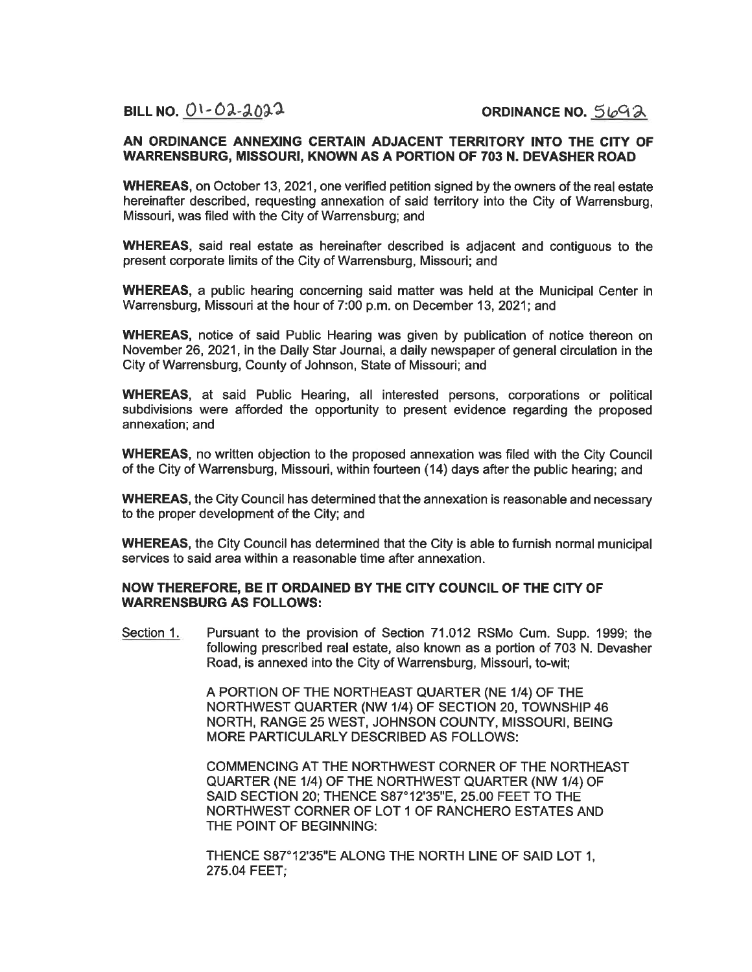BILL NO.  $01 - 02 - 2022$ 

ORDINANCE NO.  $5692$ 

#### AN ORDINANCE ANNEXING CERTAIN ADJACENT TERRITORY INTO THE CITY OF **WARRENSBURG, MISSOURI, KNOWN AS A PORTION OF 703 N. DEVASHER ROAD**

WHEREAS, on October 13, 2021, one verified petition signed by the owners of the real estate hereinafter described, requesting annexation of said territory into the City of Warrensburg. Missouri, was filed with the City of Warrensburg; and

WHEREAS, said real estate as hereinafter described is adiacent and contiguous to the present corporate limits of the City of Warrensburg, Missouri: and

WHEREAS, a public hearing concerning said matter was held at the Municipal Center in Warrensburg, Missouri at the hour of 7:00 p.m. on December 13, 2021; and

**WHEREAS**, notice of said Public Hearing was given by publication of notice thereon on November 26, 2021, in the Daily Star Journal, a daily newspaper of general circulation in the City of Warrensburg, County of Johnson, State of Missouri; and

**WHEREAS.** at said Public Hearing, all interested persons, corporations or political subdivisions were afforded the opportunity to present evidence regarding the proposed annexation; and

**WHEREAS.** no written objection to the proposed annexation was filed with the City Council of the City of Warrensburg, Missouri, within fourteen (14) days after the public hearing; and

**WHEREAS, the City Council has determined that the annexation is reasonable and necessary** to the proper development of the City; and

**WHEREAS, the City Council has determined that the City is able to furnish normal municipal** services to said area within a reasonable time after annexation.

#### NOW THEREFORE, BE IT ORDAINED BY THE CITY COUNCIL OF THE CITY OF **WARRENSBURG AS FOLLOWS:**

Pursuant to the provision of Section 71.012 RSMo Cum. Supp. 1999; the Section 1. following prescribed real estate, also known as a portion of 703 N. Devasher Road, is annexed into the City of Warrensburg, Missouri, to-wit;

> A PORTION OF THE NORTHEAST QUARTER (NE 1/4) OF THE NORTHWEST QUARTER (NW 1/4) OF SECTION 20, TOWNSHIP 46 NORTH, RANGE 25 WEST, JOHNSON COUNTY, MISSOURI, BEING MORE PARTICULARLY DESCRIBED AS FOLLOWS:

COMMENCING AT THE NORTHWEST CORNER OF THE NORTHEAST QUARTER (NE 1/4) OF THE NORTHWEST QUARTER (NW 1/4) OF SAID SECTION 20; THENCE S87°12'35"E, 25.00 FEET TO THE NORTHWEST CORNER OF LOT 1 OF RANCHERO ESTATES AND THE POINT OF BEGINNING:

THENCE S87°12'35"E ALONG THE NORTH LINE OF SAID LOT 1. 275.04 FEET;